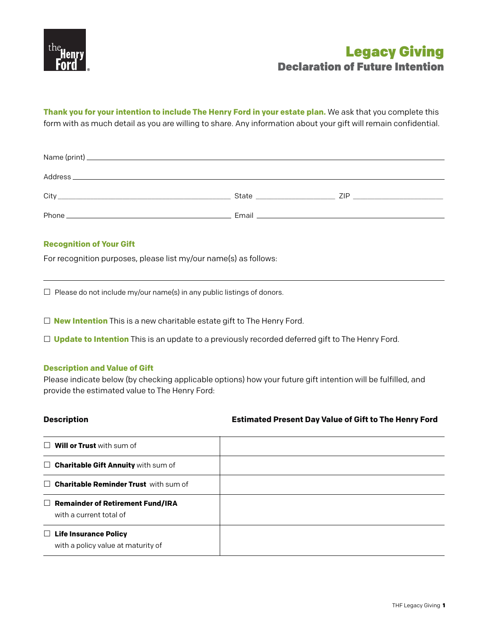

**Thank you for your intention to include The Henry Ford in your estate plan.** We ask that you complete this form with as much detail as you are willing to share. Any information about your gift will remain confidential.

| City | State <b>State</b> State <b>State</b>                                                                         | ZIP and the contract of the contract of the contract of the contract of the contract of the contract of the contract of the contract of the contract of the contract of the contract of the contract of the contract of the co |
|------|---------------------------------------------------------------------------------------------------------------|--------------------------------------------------------------------------------------------------------------------------------------------------------------------------------------------------------------------------------|
|      | Email and the contract of the contract of the contract of the contract of the contract of the contract of the |                                                                                                                                                                                                                                |

## **Recognition of Your Gift**

For recognition purposes, please list my/our name(s) as follows:

 $\Box$  Please do not include my/our name(s) in any public listings of donors.

□ **New Intention** This is a new charitable estate gift to The Henry Ford.

□ **Update to Intention** This is an update to a previously recorded deferred gift to The Henry Ford.

## **Description and Value of Gift**

 provide the estimated value to The Henry Ford: Please indicate below (by checking applicable options) how your future gift intention will be fulfilled, and

## **Description Estimated Present Day Value of Gift to The Henry Ford**

| $\Box$ Will or Trust with sum of                                   |  |
|--------------------------------------------------------------------|--|
| $\Box$ <b>Charitable Gift Annuity</b> with sum of                  |  |
| $\Box$ Charitable Reminder Trust with sum of                       |  |
| $\Box$ Remainder of Retirement Fund/IRA<br>with a current total of |  |
| $\Box$ Life Insurance Policy<br>with a policy value at maturity of |  |